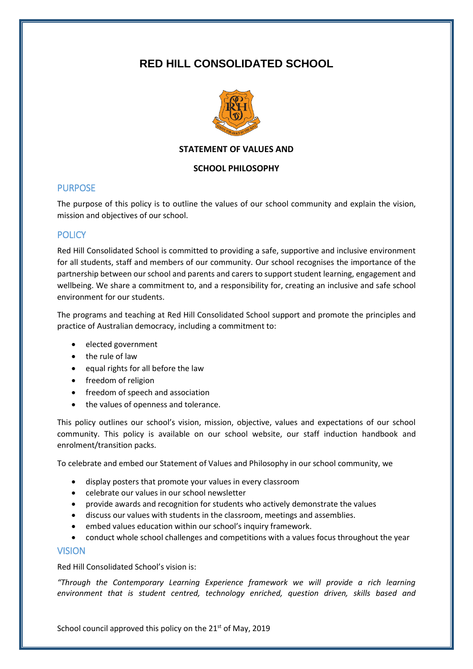# **RED HILL CONSOLIDATED SCHOOL**



### **STATEMENT OF VALUES AND**

### **SCHOOL PHILOSOPHY**

## PURPOSE

The purpose of this policy is to outline the values of our school community and explain the vision, mission and objectives of our school.

# **POLICY**

Red Hill Consolidated School is committed to providing a safe, supportive and inclusive environment for all students, staff and members of our community. Our school recognises the importance of the partnership between our school and parents and carers to support student learning, engagement and wellbeing. We share a commitment to, and a responsibility for, creating an inclusive and safe school environment for our students.

The programs and teaching at Red Hill Consolidated School support and promote the principles and practice of Australian democracy, including a commitment to:

- elected government
- the rule of law
- equal rights for all before the law
- freedom of religion
- freedom of speech and association
- the values of openness and tolerance.

This policy outlines our school's vision, mission, objective, values and expectations of our school community. This policy is available on our school website, our staff induction handbook and enrolment/transition packs.

To celebrate and embed our Statement of Values and Philosophy in our school community, we

- display posters that promote your values in every classroom
- celebrate our values in our school newsletter
- provide awards and recognition for students who actively demonstrate the values
- discuss our values with students in the classroom, meetings and assemblies.
- embed values education within our school's inquiry framework.
- conduct whole school challenges and competitions with a values focus throughout the year

## **VISION**

Red Hill Consolidated School's vision is:

*"Through the Contemporary Learning Experience framework we will provide a rich learning environment that is student centred, technology enriched, question driven, skills based and* 

School council approved this policy on the 21<sup>st</sup> of May, 2019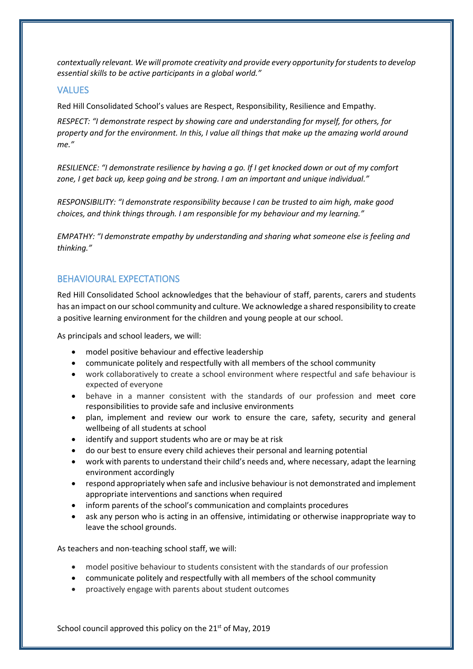*contextually relevant. We will promote creativity and provide every opportunity for students to develop essential skills to be active participants in a global world."*

## VALUES

Red Hill Consolidated School's values are Respect, Responsibility, Resilience and Empathy.

*RESPECT: "I demonstrate respect by showing care and understanding for myself, for others, for property and for the environment. In this, I value all things that make up the amazing world around me."*

*RESILIENCE: "I demonstrate resilience by having a go. If I get knocked down or out of my comfort zone, I get back up, keep going and be strong. I am an important and unique individual."*

*RESPONSIBILITY: "I demonstrate responsibility because I can be trusted to aim high, make good choices, and think things through. I am responsible for my behaviour and my learning."*

*EMPATHY: "I demonstrate empathy by understanding and sharing what someone else is feeling and thinking."*

# BEHAVIOURAL EXPECTATIONS

Red Hill Consolidated School acknowledges that the behaviour of staff, parents, carers and students has an impact on our school community and culture. We acknowledge a shared responsibility to create a positive learning environment for the children and young people at our school.

As principals and school leaders, we will:

- model positive behaviour and effective leadership
- communicate politely and respectfully with all members of the school community
- work collaboratively to create a school environment where respectful and safe behaviour is expected of everyone
- behave in a manner consistent with the standards of our profession and meet core responsibilities to provide safe and inclusive environments
- plan, implement and review our work to ensure the care, safety, security and general wellbeing of all students at school
- identify and support students who are or may be at risk
- do our best to ensure every child achieves their personal and learning potential
- work with parents to understand their child's needs and, where necessary, adapt the learning environment accordingly
- respond appropriately when safe and inclusive behaviour is not demonstrated and implement appropriate interventions and sanctions when required
- inform parents of the school's communication and complaints procedures
- ask any person who is acting in an offensive, intimidating or otherwise inappropriate way to leave the school grounds.

As teachers and non-teaching school staff, we will:

- model positive behaviour to students consistent with the standards of our profession
- communicate politely and respectfully with all members of the school community
- proactively engage with parents about student outcomes

School council approved this policy on the 21<sup>st</sup> of May, 2019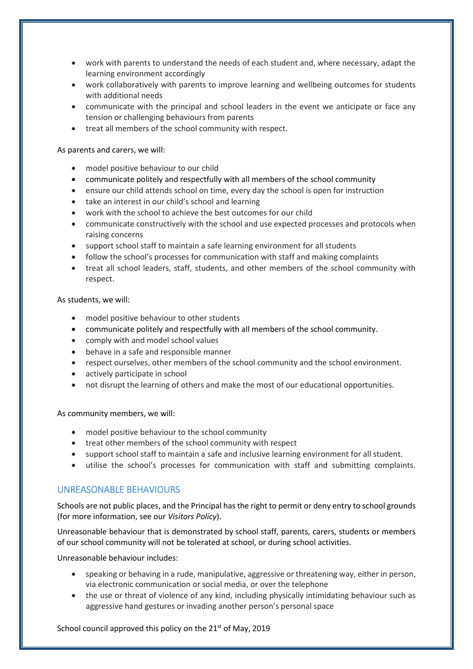- work with parents to understand the needs of each student and, where necessary, adapt the learning environment accordingly
- work collaboratively with parents to improve learning and wellbeing outcomes for students with additional needs
- communicate with the principal and school leaders in the event we anticipate or face any tension or challenging behaviours from parents
- treat all members of the school community with respect.

#### As parents and carers, we will:

- model positive behaviour to our child
- communicate politely and respectfully with all members of the school community
- ensure our child attends school on time, every day the school is open for instruction
- take an interest in our child's school and learning
- work with the school to achieve the best outcomes for our child
- communicate constructively with the school and use expected processes and protocols when raising concerns
- support school staff to maintain a safe learning environment for all students
- follow the school's processes for communication with staff and making complaints
- treat all school leaders, staff, students, and other members of the school community with respect.

#### As students, we will:

- model positive behaviour to other students
- communicate politely and respectfully with all members of the school community.
- comply with and model school values
- behave in a safe and responsible manner
- respect ourselves, other members of the school community and the school environment.
- actively participate in school
- not disrupt the learning of others and make the most of our educational opportunities.

#### As community members, we will:

- model positive behaviour to the school community
- treat other members of the school community with respect
- support school staff to maintain a safe and inclusive learning environment for all student.
- utilise the school's processes for communication with staff and submitting complaints.

## UNREASONABLE BEHAVIOURS

Schools are not public places, and the Principal has the right to permit or deny entry to school grounds (for more information, see our *Visitors Policy*).

Unreasonable behaviour that is demonstrated by school staff, parents, carers, students or members of our school community will not be tolerated at school, or during school activities.

Unreasonable behaviour includes:

- speaking or behaving in a rude, manipulative, aggressive or threatening way, either in person, via electronic communication or social media, or over the telephone
- the use or threat of violence of any kind, including physically intimidating behaviour such as aggressive hand gestures or invading another person's personal space

School council approved this policy on the 21<sup>st</sup> of May, 2019